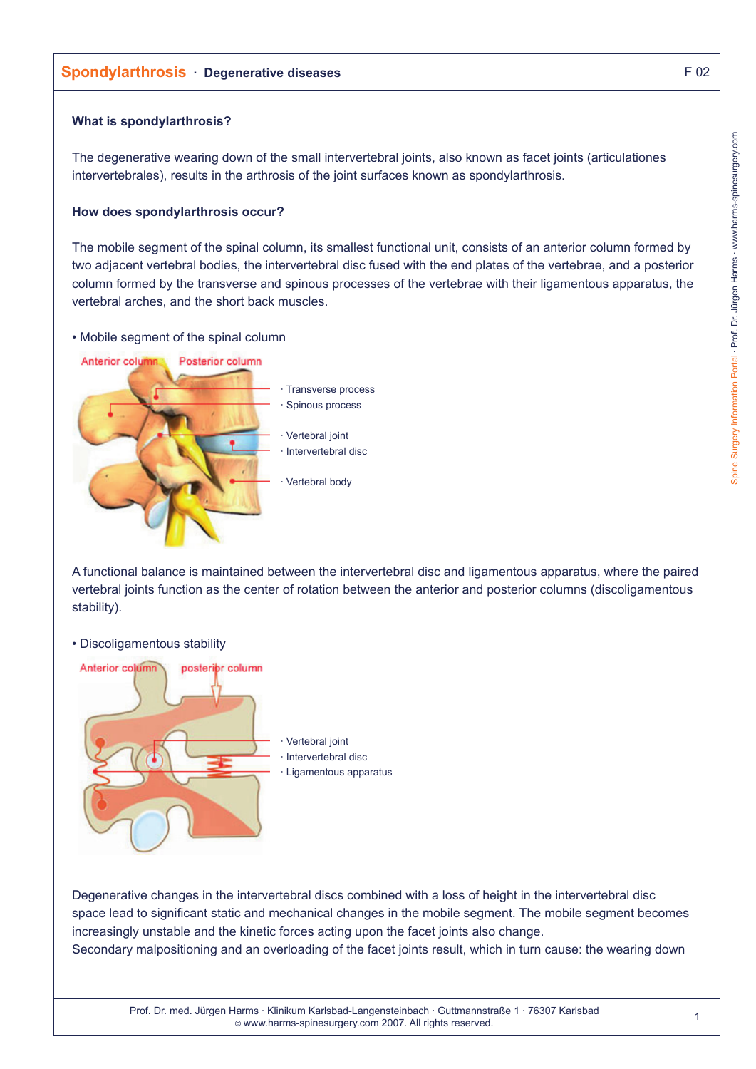# **Spondylarthrosis · Degenerative diseases** F 02

## **What is spondylarthrosis?**

The degenerative wearing down of the small intervertebral joints, also known as facet joints (articulationes intervertebrales), results in the arthrosis of the joint surfaces known as spondylarthrosis.

## **How does spondylarthrosis occur?**

The mobile segment of the spinal column, its smallest functional unit, consists of an anterior column formed by two adjacent vertebral bodies, the intervertebral disc fused with the end plates of the vertebrae, and a posterior column formed by the transverse and spinous processes of the vertebrae with their ligamentous apparatus, the vertebral arches, and the short back muscles.

## • Mobile segment of the spinal column



A functional balance is maintained between the intervertebral disc and ligamentous apparatus, where the paired vertebral joints function as the center of rotation between the anterior and posterior columns (discoligamentous stability).

#### • Discoligamentous stability



Degenerative changes in the intervertebral discs combined with a loss of height in the intervertebral disc space lead to significant static and mechanical changes in the mobile segment. The mobile segment becomes increasingly unstable and the kinetic forces acting upon the facet joints also change. Secondary malpositioning and an overloading of the facet joints result, which in turn cause: the wearing down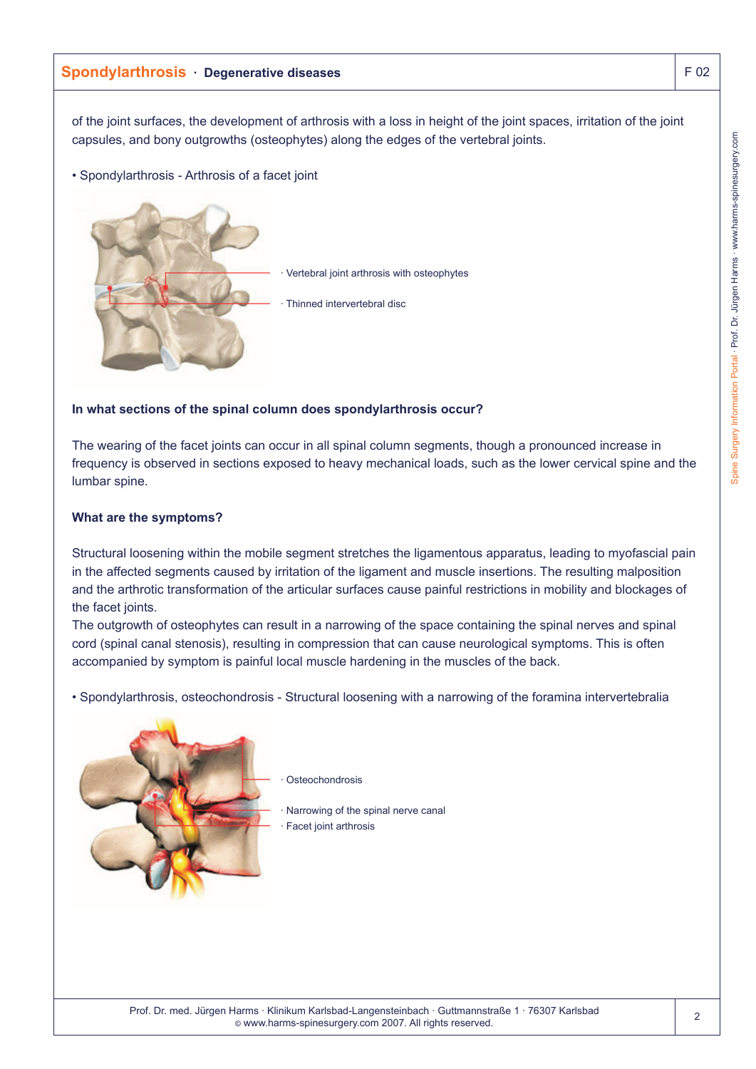## **Spondylarthrosis · Degenerative diseases** F 02

of the joint surfaces, the development of arthrosis with a loss in height of the joint spaces, irritation of the joint capsules, and bony outgrowths (osteophytes) along the edges of the vertebral joints.

• Spondylarthrosis - Arthrosis of a facet joint



## **In what sections of the spinal column does spondylarthrosis occur?**

The wearing of the facet joints can occur in all spinal column segments, though a pronounced increase in frequency is observed in sections exposed to heavy mechanical loads, such as the lower cervical spine and the lumbar spine.

#### **What are the symptoms?**

Structural loosening within the mobile segment stretches the ligamentous apparatus, leading to myofascial pain in the affected segments caused by irritation of the ligament and muscle insertions. The resulting malposition and the arthrotic transformation of the articular surfaces cause painful restrictions in mobility and blockages of the facet joints.

The outgrowth of osteophytes can result in a narrowing of the space containing the spinal nerves and spinal cord (spinal canal stenosis), resulting in compression that can cause neurological symptoms. This is often accompanied by symptom is painful local muscle hardening in the muscles of the back.

• Spondylarthrosis, osteochondrosis - Structural loosening with a narrowing of the foramina intervertebralia



**Osteochondrosis** 

Narrowing of the spinal nerve canal Facet joint arthrosis